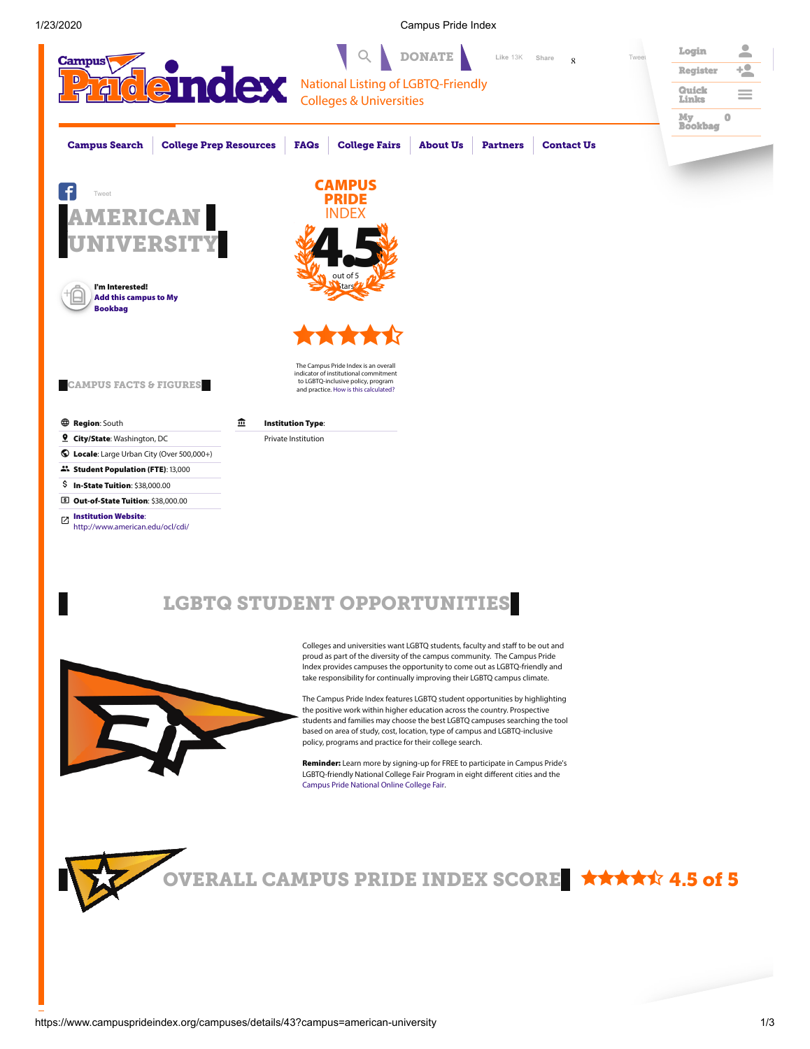1/23/2020 Campus Pride Index



# LGBTQ STUDENT OPPORTUNITIES



Colleges and universities want LGBTQ students, faculty and staff to be out and proud as part of the diversity of the campus community. The Campus Pride Index provides campuses the opportunity to come out as LGBTQ-friendly and take responsibility for continually improving their LGBTQ campus climate.

The Campus Pride Index features LGBTQ student opportunities by highlighting the positive work within higher education across the country. Prospective students and families may choose the best LGBTQ campuses searching the tool based on area of study, cost, location, type of campus and LGBTQ-inclusive policy, programs and practice for their college search.

Reminder: Learn more by signing-up for FREE to participate in Campus Pride's LGBTQ-friendly National College Fair Program in eight different cities and the Campus Pride [National](http://www.campuspride.org/CollegeFair) Online College Fair.

<span id="page-0-0"></span>

VERALL CAMPUS PRIDE INDEX SCORE \*\*\*\*\* 4.5 of 5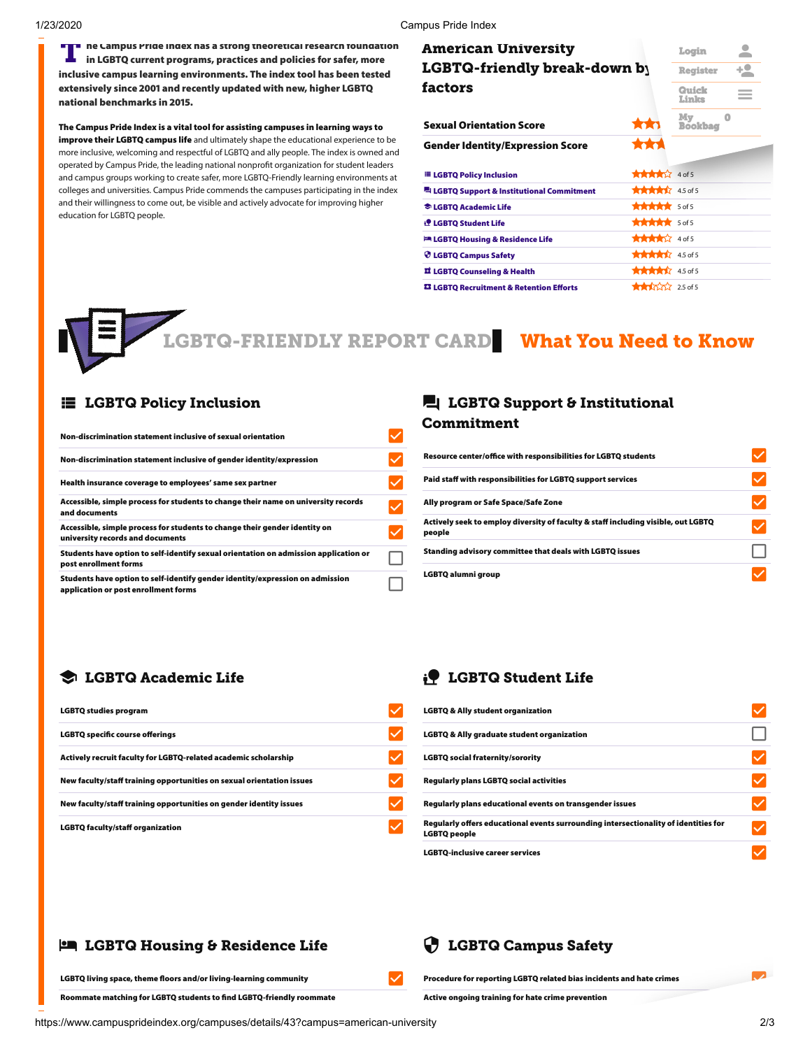1/23/2020 Campus Pride Index

THE RECAMPUS PRIOR INCRES A STRONG THE CAMPUS PRIOR OF THE RECAMPUSHED IN THE RECAMPUSHED TO A 1990 IN THE RECAMPUSHED TO A 1990 IN THE RECAMPUSHED OF THE RECAMPUSHED OF THE RECAMPUSHED OF THE RECAMPUSHED OF THE RECAMPUSHE  $\blacksquare$  ne Campus Prige Ingex has a strong theoretical research foungation inclusive campus learning environments. The index tool has been tested extensively since 2001 and recently updated with new, higher LGBTQ national benchmarks in 2015.

The Campus Pride Index is a vital tool for assisting campuses in learning ways to improve their LGBTQ campus life and ultimately shape the educational experience to be more inclusive, welcoming and respectful of LGBTQ and ally people. The index is owned and operated by Campus Pride, the leading national nonprofit organization for student leaders and campus groups working to create safer, more LGBTQ-Friendly learning environments at colleges and universities. Campus Pride commends the campuses participating in the index and their willingness to come out, be visible and actively advocate for improving higher education for LGBTQ people.

| American University                                            |                                                                                                                                                                                                                                                                                                                     | Login                | ≍        |
|----------------------------------------------------------------|---------------------------------------------------------------------------------------------------------------------------------------------------------------------------------------------------------------------------------------------------------------------------------------------------------------------|----------------------|----------|
| <b>LGBTQ-friendly break-down b</b> y                           |                                                                                                                                                                                                                                                                                                                     | <b>Register</b>      | $+2$     |
| factors                                                        |                                                                                                                                                                                                                                                                                                                     | Quick<br>Links       |          |
| <b>Sexual Orientation Score</b>                                | <b>xx1</b>                                                                                                                                                                                                                                                                                                          | My<br><b>Bookbag</b> | $\bf{0}$ |
| <b>Gender Identity/Expression Score</b>                        | ***                                                                                                                                                                                                                                                                                                                 |                      |          |
| <b>ELGBTQ Policy Inclusion</b>                                 | $\frac{1}{2}$ $\frac{1}{2}$ $\frac{1}{2}$ $\frac{1}{2}$ $\frac{1}{2}$ $\frac{1}{2}$ $\frac{1}{2}$ $\frac{1}{2}$ $\frac{1}{2}$ $\frac{1}{2}$ $\frac{1}{2}$ $\frac{1}{2}$ $\frac{1}{2}$ $\frac{1}{2}$ $\frac{1}{2}$ $\frac{1}{2}$ $\frac{1}{2}$ $\frac{1}{2}$ $\frac{1}{2}$ $\frac{1}{2}$ $\frac{1}{2}$ $\frac{1}{2}$ |                      |          |
| LGBTQ Support & Institutional Commitment                       | <b>****</b> 45 of 5                                                                                                                                                                                                                                                                                                 |                      |          |
| <b>Example 2 Academic Life</b>                                 | $***$                                                                                                                                                                                                                                                                                                               |                      |          |
| if LGBTQ Student Life                                          | ***** 5 of 5                                                                                                                                                                                                                                                                                                        |                      |          |
| <b>ER LGBTQ Housing &amp; Residence Life</b>                   | $\text{H}$ $\text{H}$ $\text{H}$ $\text{H}$ $\text{H}$ $\text{H}$ $\text{H}$ $\text{H}$ $\text{H}$ $\text{H}$                                                                                                                                                                                                       |                      |          |
| <b><i>C</i></b> LGBTQ Campus Safety                            | <b>大大大大</b> 4.5 of 5                                                                                                                                                                                                                                                                                                |                      |          |
| 豆 LGBTQ Counseling & Health                                    | $\frac{1}{2}$ $\frac{1}{2}$ $\frac{1}{2}$ $\frac{1}{2}$ $\frac{1}{2}$ $\frac{1}{2}$ $\frac{1}{2}$ $\frac{1}{2}$ $\frac{1}{2}$ $\frac{1}{2}$ $\frac{1}{2}$ $\frac{1}{2}$ $\frac{1}{2}$ $\frac{1}{2}$ $\frac{1}{2}$ $\frac{1}{2}$ $\frac{1}{2}$ $\frac{1}{2}$ $\frac{1}{2}$ $\frac{1}{2}$ $\frac{1}{2}$ $\frac{1}{2}$ |                      |          |
| <b><sup>33</sup> LGBTO Recruitment &amp; Retention Efforts</b> | $\bigstar$ $\bigstar$ $\bigstar$ 2.5 of 5                                                                                                                                                                                                                                                                           |                      |          |

LGBTQ-FRIENDLY REPORT CARD What You Need to Know

#### **E** LGBTQ Policy Inclusion

| Non-discrimination statement inclusive of sexual orientation                                                          |        |
|-----------------------------------------------------------------------------------------------------------------------|--------|
| Non-discrimination statement inclusive of gender identity/expression                                                  | R      |
| Health insurance coverage to employees' same sex partner                                                              | P      |
| Accessible, simple process for students to change their name on university records<br>and documents                   | A      |
| Accessible, simple process for students to change their gender identity on<br>university records and documents        | A<br>p |
| Students have option to self-identify sexual orientation on admission application or<br>post enrollment forms         | s      |
| Students have option to self-identify gender identity/expression on admission<br>application or post enrollment forms | Þ      |

#### **L** LGBTQ Support & Institutional Commitment

| Resource center/office with responsibilities for LGBTQ students                             |  |
|---------------------------------------------------------------------------------------------|--|
| Paid staff with responsibilities for LGBTO support services                                 |  |
| Ally program or Safe Space/Safe Zone                                                        |  |
| Actively seek to employ diversity of faculty & staff including visible, out LGBTQ<br>people |  |
| Standing advisory committee that deals with LGBTQ issues                                    |  |
| LGBTQ alumni group                                                                          |  |

## LGBTQ Academic Life

| <b>LGBTQ studies program</b>                                          |   |
|-----------------------------------------------------------------------|---|
| <b>LGBTQ specific course offerings</b>                                | ь |
| Actively recruit faculty for LGBTQ-related academic scholarship       |   |
| New faculty/staff training opportunities on sexual orientation issues | R |
| New faculty/staff training opportunities on gender identity issues    | R |
| <b>LGBTQ faculty/staff organization</b>                               | R |

## **P** LGBTQ Student Life

| <b>LGBTQ &amp; Ally student organization</b>                                                        |  |
|-----------------------------------------------------------------------------------------------------|--|
| <b>LGBTQ &amp; Ally graduate student organization</b>                                               |  |
| <b>LGBTQ social fraternity/sorority</b>                                                             |  |
| <b>Regularly plans LGBTQ social activities</b>                                                      |  |
| Regularly plans educational events on transgender issues                                            |  |
| Regularly offers educational events surrounding intersectionality of identities for<br>LGBTQ people |  |
| <b>LGBTO-inclusive career services</b>                                                              |  |

## LGBTQ Housing & Residence Life

Procedure for reporting LGBTQ related bias incidents and hate crimes

Roommate matching for LGBTQ students to find LGBTQ-friendly roommate

LGBTQ living space, theme floors and/or living-learning community

Active ongoing training for hate crime prevention

LGBTQ Campus Safety

 $\checkmark$ 

https://www.campusprideindex.org/campuses/details/43?campus=american-university 2/3

 $\overline{\phantom{a}}$